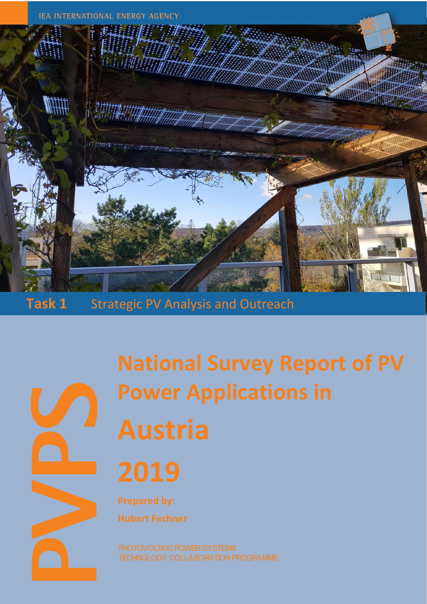

**Task 1** Strategic PV Analysis and Outreach

**National Survey Report of PV Power Applications in Austria 2019**

**Prepared by: Hubert Fechner**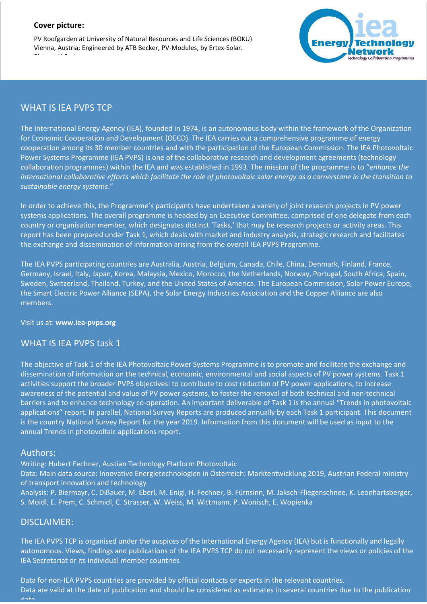#### **Cover picture:**

PV Roofgarden at University of Natural Resources and Life Sciences (BOKU) Vienna, Austria; Engineered by ATB Becker, PV-Modules, by Ertex-Solar. Picture: H.Fechner



## WHAT IS IEA PVPS TCP

The International Energy Agency (IEA), founded in 1974, is an autonomous body within the framework of the Organization for Economic Cooperation and Development (OECD). The IEA carries out a comprehensive programme of energy cooperation among its 30 member countries and with the participation of the European Commission. The IEA Photovoltaic Power Systems Programme (IEA PVPS) is one of the collaborative research and development agreements (technology collaboration programmes) within the IEA and was established in 1993. The mission of the programme is to "*enhance the international collaborative efforts which facilitate the role of photovoltaic solar energy as a cornerstone in the transition to sustainable energy systems*."

In order to achieve this, the Programme's participants have undertaken a variety of joint research projects in PV power systems applications. The overall programme is headed by an Executive Committee, comprised of one delegate from each country or organisation member, which designates distinct 'Tasks,' that may be research projects or activity areas. This report has been prepared under Task 1, which deals with market and industry analysis, strategic research and facilitates the exchange and dissemination of information arising from the overall IEA PVPS Programme.

The IEA PVPS participating countries are Australia, Austria, Belgium, Canada, Chile, China, Denmark, Finland, France, Germany, Israel, Italy, Japan, Korea, Malaysia, Mexico, Morocco, the Netherlands, Norway, Portugal, South Africa, Spain, Sweden, Switzerland, Thailand, Turkey, and the United States of America. The European Commission, Solar Power Europe, the Smart Electric Power Alliance (SEPA), the Solar Energy Industries Association and the Copper Alliance are also members.

#### Visit us at: **www.iea-pvps.org**

#### WHAT IS IEA PVPS task 1

The objective of Task 1 of the IEA Photovoltaic Power Systems Programme is to promote and facilitate the exchange and dissemination of information on the technical, economic, environmental and social aspects of PV power systems. Task 1 activities support the broader PVPS objectives: to contribute to cost reduction of PV power applications, to increase awareness of the potential and value of PV power systems, to foster the removal of both technical and non-technical barriers and to enhance technology co-operation. An important deliverable of Task 1 is the annual "Trends in photovoltaic applications" report. In parallel, National Survey Reports are produced annually by each Task 1 participant. This document is the country National Survey Report for the year 2019. Information from this document will be used as input to the annual Trends in photovoltaic applications report.

#### Authors:

Writing: Hubert Fechner, Austian Technology Platform Photovoltaic

Data: Main data source: Innovative Energietechnologien in Österreich: Marktentwicklung 2019, Austrian Federal ministry of transport innovation and technology

Analysis: P. Biermayr, C. Dißauer, M. Eberl, M. Enigl, H. Fechner, B. Fürnsinn, M. Jaksch-Fliegenschnee, K. Leonhartsberger, S. Moidl, E. Prem, C. Schmidl, C. Strasser, W. Weiss, M. Wittmann, P. Wonisch, E. Wopienka

#### DISCLAIMER:

The IEA PVPS TCP is organised under the auspices of the International Energy Agency (IEA) but is functionally and legally autonomous. Views, findings and publications of the IEA PVPS TCP do not necessarily represent the views or policies of the IEA Secretariat or its individual member countries

Data for non-IEA PVPS countries are provided by official contacts or experts in the relevant countries. Data are valid at the date of publication and should be considered as estimates in several countries due to the publication  $d - 4$ .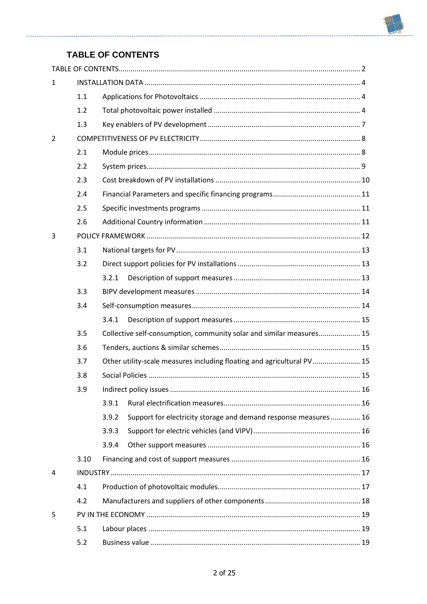

# **TABLE OF CONTENTS**

<span id="page-2-0"></span>

| $\mathbf{1}$ |      |                                                                          |  |
|--------------|------|--------------------------------------------------------------------------|--|
|              | 1.1  |                                                                          |  |
|              | 1.2  |                                                                          |  |
|              | 1.3  |                                                                          |  |
| 2            |      |                                                                          |  |
|              | 2.1  |                                                                          |  |
|              | 2.2  |                                                                          |  |
|              | 2.3  |                                                                          |  |
|              | 2.4  |                                                                          |  |
|              | 2.5  |                                                                          |  |
|              | 2.6  |                                                                          |  |
| 3            |      |                                                                          |  |
|              | 3.1  |                                                                          |  |
|              | 3.2  |                                                                          |  |
|              |      | 3.2.1                                                                    |  |
|              | 3.3  |                                                                          |  |
|              | 3.4  |                                                                          |  |
|              |      | 3.4.1                                                                    |  |
|              | 3.5  | Collective self-consumption, community solar and similar measures 15     |  |
|              | 3.6  |                                                                          |  |
|              | 3.7  | Other utility-scale measures including floating and agricultural PV 15   |  |
|              | 3.8  |                                                                          |  |
|              | 3.9  |                                                                          |  |
|              |      | 3.9.1                                                                    |  |
|              |      | Support for electricity storage and demand response measures 16<br>3.9.2 |  |
|              |      | 3.9.3                                                                    |  |
|              |      | 3.9.4                                                                    |  |
|              | 3.10 |                                                                          |  |
| 4            |      |                                                                          |  |
|              | 4.1  |                                                                          |  |
|              | 4.2  |                                                                          |  |
| 5            |      |                                                                          |  |
|              | 5.1  |                                                                          |  |
|              | 5.2  |                                                                          |  |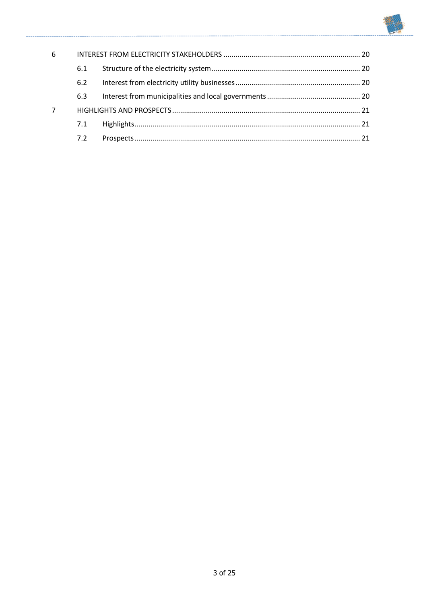

| 6 |     |  |  |  |
|---|-----|--|--|--|
|   | 6.1 |  |  |  |
|   | 6.2 |  |  |  |
|   | 6.3 |  |  |  |
|   |     |  |  |  |
|   | 7.1 |  |  |  |
|   | 7.2 |  |  |  |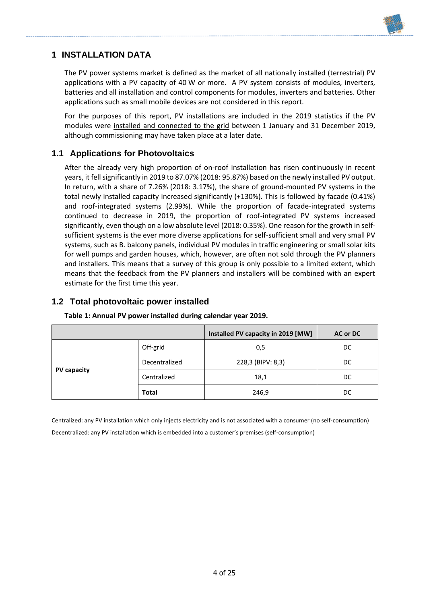

## <span id="page-4-0"></span>**1 INSTALLATION DATA**

The PV power systems market is defined as the market of all nationally installed (terrestrial) PV applications with a PV capacity of 40 W or more. A PV system consists of modules, inverters, batteries and all installation and control components for modules, inverters and batteries. Other applications such as small mobile devices are not considered in this report.

For the purposes of this report, PV installations are included in the 2019 statistics if the PV modules were installed and connected to the grid between 1 January and 31 December 2019, although commissioning may have taken place at a later date.

### <span id="page-4-1"></span>**1.1 Applications for Photovoltaics**

After the already very high proportion of on-roof installation has risen continuously in recent years, it fell significantly in 2019 to 87.07% (2018: 95.87%) based on the newly installed PV output. In return, with a share of 7.26% (2018: 3.17%), the share of ground-mounted PV systems in the total newly installed capacity increased significantly (+130%). This is followed by facade (0.41%) and roof-integrated systems (2.99%). While the proportion of facade-integrated systems continued to decrease in 2019, the proportion of roof-integrated PV systems increased significantly, even though on a low absolute level (2018: 0.35%). One reason for the growth in selfsufficient systems is the ever more diverse applications for self-sufficient small and very small PV systems, such as B. balcony panels, individual PV modules in traffic engineering or small solar kits for well pumps and garden houses, which, however, are often not sold through the PV planners and installers. This means that a survey of this group is only possible to a limited extent, which means that the feedback from the PV planners and installers will be combined with an expert estimate for the first time this year.

### <span id="page-4-2"></span>**1.2 Total photovoltaic power installed**

|             |               | Installed PV capacity in 2019 [MW] | <b>AC or DC</b> |
|-------------|---------------|------------------------------------|-----------------|
|             | Off-grid      | 0,5                                | DC              |
|             | Decentralized | 228,3 (BIPV: 8,3)                  | DC.             |
| PV capacity | Centralized   | 18,1                               | DC.             |
|             | <b>Total</b>  | 246,9                              | DC              |

#### **Table 1: Annual PV power installed during calendar year 2019.**

Centralized: any PV installation which only injects electricity and is not associated with a consumer (no self-consumption) Decentralized: any PV installation which is embedded into a customer's premises (self-consumption)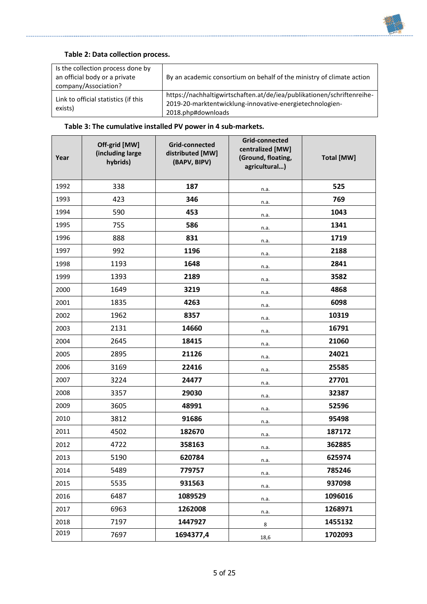

#### **Table 2: Data collection process.**

| Is the collection process done by<br>an official body or a private<br>company/Association? | By an academic consortium on behalf of the ministry of climate action                                                                                    |
|--------------------------------------------------------------------------------------------|----------------------------------------------------------------------------------------------------------------------------------------------------------|
| Link to official statistics (if this<br>exists)                                            | https://nachhaltigwirtschaften.at/de/iea/publikationen/schriftenreihe-<br>2019-20-marktentwicklung-innovative-energietechnologien-<br>2018.php#downloads |

## **Table 3: The cumulative installed PV power in 4 sub-markets.**

| Year | Off-grid [MW]<br>(including large<br>hybrids) | <b>Grid-connected</b><br>distributed [MW]<br>(BAPV, BIPV) | Grid-connected<br>centralized [MW]<br>(Ground, floating,<br>agricultural) | <b>Total [MW]</b> |
|------|-----------------------------------------------|-----------------------------------------------------------|---------------------------------------------------------------------------|-------------------|
| 1992 | 338                                           | 187                                                       | n.a.                                                                      | 525               |
| 1993 | 423                                           | 346                                                       | n.a.                                                                      | 769               |
| 1994 | 590                                           | 453                                                       | n.a.                                                                      | 1043              |
| 1995 | 755                                           | 586                                                       | n.a.                                                                      | 1341              |
| 1996 | 888                                           | 831                                                       | n.a.                                                                      | 1719              |
| 1997 | 992                                           | 1196                                                      | n.a.                                                                      | 2188              |
| 1998 | 1193                                          | 1648                                                      | n.a.                                                                      | 2841              |
| 1999 | 1393                                          | 2189                                                      | n.a.                                                                      | 3582              |
| 2000 | 1649                                          | 3219                                                      | n.a.                                                                      | 4868              |
| 2001 | 1835                                          | 4263                                                      | n.a.                                                                      | 6098              |
| 2002 | 1962                                          | 8357                                                      | n.a.                                                                      | 10319             |
| 2003 | 2131                                          | 14660                                                     | n.a.                                                                      | 16791             |
| 2004 | 2645                                          | 18415                                                     | n.a.                                                                      | 21060             |
| 2005 | 2895                                          | 21126                                                     | n.a.                                                                      | 24021             |
| 2006 | 3169                                          | 22416                                                     | n.a.                                                                      | 25585             |
| 2007 | 3224                                          | 24477                                                     | n.a.                                                                      | 27701             |
| 2008 | 3357                                          | 29030                                                     | n.a.                                                                      | 32387             |
| 2009 | 3605                                          | 48991                                                     | n.a.                                                                      | 52596             |
| 2010 | 3812                                          | 91686                                                     | n.a.                                                                      | 95498             |
| 2011 | 4502                                          | 182670                                                    | n.a.                                                                      | 187172            |
| 2012 | 4722                                          | 358163                                                    | n.a.                                                                      | 362885            |
| 2013 | 5190                                          | 620784                                                    | n.a.                                                                      | 625974            |
| 2014 | 5489                                          | 779757                                                    | n.a.                                                                      | 785246            |
| 2015 | 5535                                          | 931563                                                    | n.a.                                                                      | 937098            |
| 2016 | 6487                                          | 1089529                                                   | n.a.                                                                      | 1096016           |
| 2017 | 6963                                          | 1262008                                                   | n.a.                                                                      | 1268971           |
| 2018 | 7197                                          | 1447927                                                   | 8                                                                         | 1455132           |
| 2019 | 7697                                          | 1694377,4                                                 | 18,6                                                                      | 1702093           |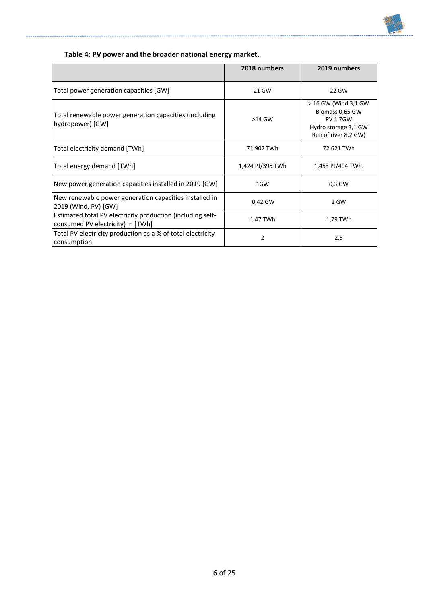

## **Table 4: PV power and the broader national energy market.**

|                                                                                                 | 2018 numbers     | 2019 numbers                                                                                               |
|-------------------------------------------------------------------------------------------------|------------------|------------------------------------------------------------------------------------------------------------|
| Total power generation capacities [GW]                                                          | 21 GW            | 22 GW                                                                                                      |
| Total renewable power generation capacities (including<br>hydropower) [GW]                      | $>14$ GW         | > 16 GW (Wind 3,1 GW<br>Biomass 0,65 GW<br><b>PV 1,7GW</b><br>Hydro storage 3,1 GW<br>Run of river 8,2 GW) |
| Total electricity demand [TWh]                                                                  | 71.902 TWh       | 72.621 TWh                                                                                                 |
| Total energy demand [TWh]                                                                       | 1,424 PJ/395 TWh | 1,453 PJ/404 TWh.                                                                                          |
| New power generation capacities installed in 2019 [GW]                                          | 1GW              | 0,3 GW                                                                                                     |
| New renewable power generation capacities installed in<br>2019 (Wind, PV) [GW]                  | 0,42 GW          | 2 GW                                                                                                       |
| Estimated total PV electricity production (including self-<br>consumed PV electricity) in [TWh] | 1,47 TWh         | 1,79 TWh                                                                                                   |
| Total PV electricity production as a % of total electricity<br>consumption                      | 2                | 2,5                                                                                                        |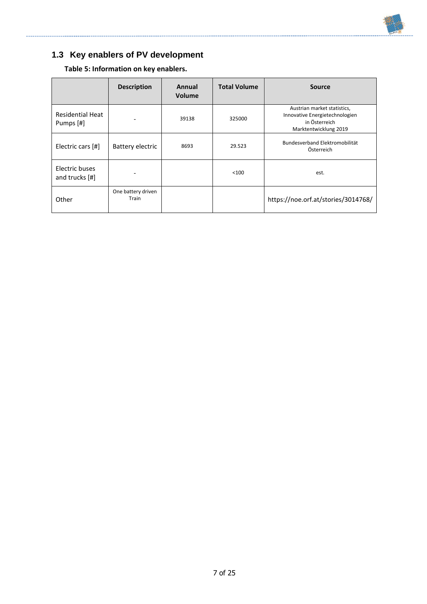

# <span id="page-7-0"></span>**1.3 Key enablers of PV development**

**Table 5: Information on key enablers.**

|                                      | <b>Description</b>          | Annual<br><b>Volume</b> | <b>Total Volume</b> | <b>Source</b>                                                                                           |
|--------------------------------------|-----------------------------|-------------------------|---------------------|---------------------------------------------------------------------------------------------------------|
| <b>Residential Heat</b><br>Pumps [#] |                             | 39138                   | 325000              | Austrian market statistics,<br>Innovative Energietechnologien<br>in Österreich<br>Marktentwicklung 2019 |
| Electric cars [#]                    | Battery electric            | 8693                    | 29.523              | Bundesverband Elektromobilität<br>Österreich                                                            |
| Electric buses<br>and trucks $[#]$   |                             |                         | < 100               | est.                                                                                                    |
| Other                                | One battery driven<br>Train |                         |                     | https://noe.orf.at/stories/3014768/                                                                     |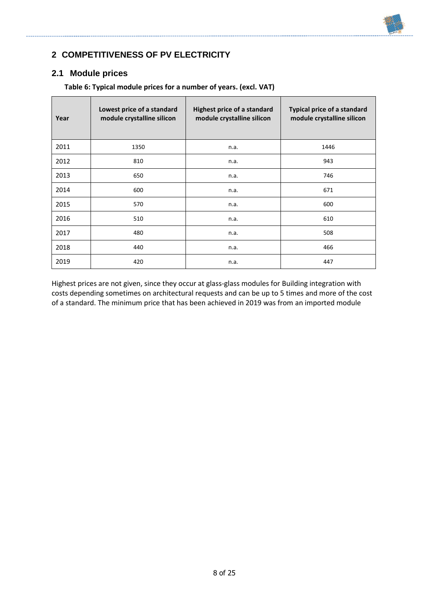# <span id="page-8-0"></span>**2 COMPETITIVENESS OF PV ELECTRICITY**

#### <span id="page-8-1"></span>**2.1 Module prices**

| Year | Lowest price of a standard<br>module crystalline silicon | <b>Highest price of a standard</b><br>module crystalline silicon | <b>Typical price of a standard</b><br>module crystalline silicon |
|------|----------------------------------------------------------|------------------------------------------------------------------|------------------------------------------------------------------|
| 2011 | 1350                                                     | n.a.                                                             | 1446                                                             |
| 2012 | 810                                                      | n.a.                                                             | 943                                                              |
| 2013 | 650                                                      | n.a.                                                             | 746                                                              |
| 2014 | 600                                                      | n.a.                                                             | 671                                                              |
| 2015 | 570                                                      | n.a.                                                             | 600                                                              |
| 2016 | 510                                                      | n.a.                                                             | 610                                                              |
| 2017 | 480                                                      | n.a.                                                             | 508                                                              |
| 2018 | 440                                                      | n.a.                                                             | 466                                                              |
| 2019 | 420                                                      | n.a.                                                             | 447                                                              |

**Table 6: Typical module prices for a number of years. (excl. VAT)**

Highest prices are not given, since they occur at glass-glass modules for Building integration with costs depending sometimes on architectural requests and can be up to 5 times and more of the cost of a standard. The minimum price that has been achieved in 2019 was from an imported module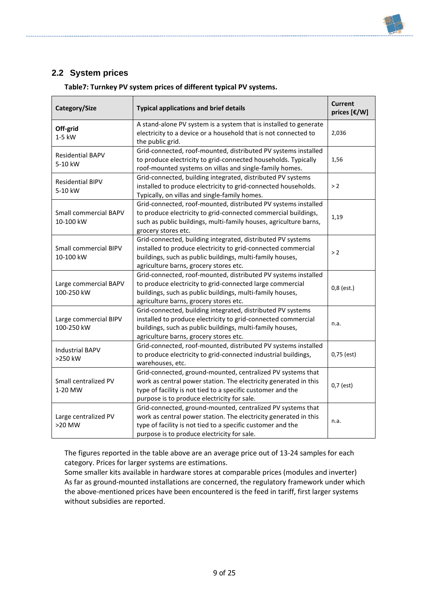# <span id="page-9-0"></span>**2.2 System prices**

| Category/Size                                                                                                                                                                                                                                                                    | <b>Typical applications and brief details</b>                                                                                                                                                                                              | <b>Current</b><br>prices [€/W] |  |  |
|----------------------------------------------------------------------------------------------------------------------------------------------------------------------------------------------------------------------------------------------------------------------------------|--------------------------------------------------------------------------------------------------------------------------------------------------------------------------------------------------------------------------------------------|--------------------------------|--|--|
| Off-grid<br>1-5 kW                                                                                                                                                                                                                                                               | A stand-alone PV system is a system that is installed to generate<br>electricity to a device or a household that is not connected to<br>the public grid.                                                                                   | 2,036                          |  |  |
| <b>Residential BAPV</b><br>5-10 kW                                                                                                                                                                                                                                               | Grid-connected, roof-mounted, distributed PV systems installed<br>to produce electricity to grid-connected households. Typically<br>roof-mounted systems on villas and single-family homes.                                                | 1,56                           |  |  |
| <b>Residential BIPV</b><br>5-10 kW                                                                                                                                                                                                                                               | Grid-connected, building integrated, distributed PV systems<br>installed to produce electricity to grid-connected households.<br>> 2<br>Typically, on villas and single-family homes.                                                      |                                |  |  |
| Small commercial BAPV<br>10-100 kW                                                                                                                                                                                                                                               | Grid-connected, roof-mounted, distributed PV systems installed<br>to produce electricity to grid-connected commercial buildings,<br>1,19<br>such as public buildings, multi-family houses, agriculture barns,<br>grocery stores etc.       |                                |  |  |
| Small commercial BIPV<br>10-100 kW                                                                                                                                                                                                                                               | Grid-connected, building integrated, distributed PV systems<br>installed to produce electricity to grid-connected commercial<br>> 2<br>buildings, such as public buildings, multi-family houses,<br>agriculture barns, grocery stores etc. |                                |  |  |
| Grid-connected, roof-mounted, distributed PV systems installed<br>Large commercial BAPV<br>to produce electricity to grid-connected large commercial<br>100-250 kW<br>buildings, such as public buildings, multi-family houses,<br>agriculture barns, grocery stores etc.        |                                                                                                                                                                                                                                            | $0,8$ (est.)                   |  |  |
| Large commercial BIPV<br>100-250 kW                                                                                                                                                                                                                                              | Grid-connected, building integrated, distributed PV systems<br>installed to produce electricity to grid-connected commercial<br>buildings, such as public buildings, multi-family houses,<br>agriculture barns, grocery stores etc.        | n.a.                           |  |  |
| Grid-connected, roof-mounted, distributed PV systems installed<br><b>Industrial BAPV</b><br>to produce electricity to grid-connected industrial buildings,<br>>250 kW<br>warehouses, etc.                                                                                        |                                                                                                                                                                                                                                            | 0,75 (est)                     |  |  |
| Grid-connected, ground-mounted, centralized PV systems that<br>Small centralized PV<br>work as central power station. The electricity generated in this<br>type of facility is not tied to a specific customer and the<br>1-20 MW<br>purpose is to produce electricity for sale. |                                                                                                                                                                                                                                            | $0,7$ (est)                    |  |  |
| Grid-connected, ground-mounted, centralized PV systems that<br>work as central power station. The electricity generated in this<br>Large centralized PV<br>type of facility is not tied to a specific customer and the<br>>20 MW<br>purpose is to produce electricity for sale.  |                                                                                                                                                                                                                                            | n.a.                           |  |  |

**Table7: Turnkey PV system prices of different typical PV systems.**

The figures reported in the table above are an average price out of 13-24 samples for each category. Prices for larger systems are estimations.

Some smaller kits available in hardware stores at comparable prices (modules and inverter) As far as ground-mounted installations are concerned, the regulatory framework under which the above-mentioned prices have been encountered is the feed in tariff, first larger systems without subsidies are reported.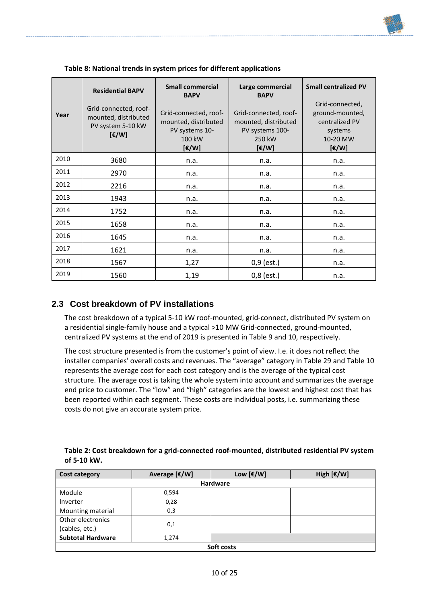| Year | <b>Residential BAPV</b><br>Grid-connected, roof-<br>mounted, distributed<br>PV system 5-10 kW<br>$[\mathsf{E}/\mathsf{W}]$ | <b>Small commercial</b><br><b>BAPV</b><br>Grid-connected, roof-<br>mounted, distributed<br>PV systems 10-<br>100 kW<br>$[\mathfrak{E}/W]$ | Large commercial<br><b>BAPV</b><br>Grid-connected, roof-<br>mounted, distributed<br>PV systems 100-<br>250 kW<br>$[\mathfrak{C}/W]$ | <b>Small centralized PV</b><br>Grid-connected,<br>ground-mounted,<br>centralized PV<br>systems<br>10-20 MW<br>$[\mathfrak{E}/W]$ |
|------|----------------------------------------------------------------------------------------------------------------------------|-------------------------------------------------------------------------------------------------------------------------------------------|-------------------------------------------------------------------------------------------------------------------------------------|----------------------------------------------------------------------------------------------------------------------------------|
| 2010 | 3680                                                                                                                       | n.a.                                                                                                                                      | n.a.                                                                                                                                | n.a.                                                                                                                             |
| 2011 | 2970                                                                                                                       | n.a.                                                                                                                                      | n.a.                                                                                                                                | n.a.                                                                                                                             |
| 2012 | 2216                                                                                                                       | n.a.                                                                                                                                      | n.a.                                                                                                                                | n.a.                                                                                                                             |
| 2013 | 1943                                                                                                                       | n.a.                                                                                                                                      | n.a.                                                                                                                                | n.a.                                                                                                                             |
| 2014 | 1752                                                                                                                       | n.a.                                                                                                                                      | n.a.                                                                                                                                | n.a.                                                                                                                             |
| 2015 | 1658                                                                                                                       | n.a.                                                                                                                                      | n.a.                                                                                                                                | n.a.                                                                                                                             |
| 2016 | 1645                                                                                                                       | n.a.                                                                                                                                      | n.a.                                                                                                                                | n.a.                                                                                                                             |
| 2017 | 1621                                                                                                                       | n.a.                                                                                                                                      | n.a.                                                                                                                                | n.a.                                                                                                                             |
| 2018 | 1567                                                                                                                       | 1,27                                                                                                                                      | $0,9$ (est.)                                                                                                                        | n.a.                                                                                                                             |
| 2019 | 1560                                                                                                                       | 1,19                                                                                                                                      | $0,8$ (est.)                                                                                                                        | n.a.                                                                                                                             |

**Table 8: National trends in system prices for different applications**

# <span id="page-10-0"></span>**2.3 Cost breakdown of PV installations**

The cost breakdown of a typical 5-10 kW roof-mounted, grid-connect, distributed PV system on a residential single-family house and a typical >10 MW Grid-connected, ground-mounted, centralized PV systems at the end of 2019 is presented in Table 9 and 10, respectively.

The cost structure presented is from the customer's point of view. I.e. it does not reflect the installer companies' overall costs and revenues. The "average" category in [Table 29](#page-10-1) and Table 10 represents the average cost for each cost category and is the average of the typical cost structure. The average cost is taking the whole system into account and summarizes the average end price to customer. The "low" and "high" categories are the lowest and highest cost that has been reported within each segment. These costs are individual posts, i.e. summarizing these costs do not give an accurate system price.

<span id="page-10-1"></span>

| Table 2: Cost breakdown for a grid-connected roof-mounted, distributed residential PV system |
|----------------------------------------------------------------------------------------------|
| of 5-10 kW.                                                                                  |

| Cost category            | Average [€/W]   | Low [€/W] | High $[\mathbf{\epsilon}/\mathsf{W}]$ |  |  |  |
|--------------------------|-----------------|-----------|---------------------------------------|--|--|--|
|                          | <b>Hardware</b> |           |                                       |  |  |  |
| Module                   | 0,594           |           |                                       |  |  |  |
| Inverter                 | 0,28            |           |                                       |  |  |  |
| Mounting material        | 0,3             |           |                                       |  |  |  |
| Other electronics        |                 |           |                                       |  |  |  |
| (cables, etc.)           | 0,1             |           |                                       |  |  |  |
| <b>Subtotal Hardware</b> | 1,274           |           |                                       |  |  |  |
| Soft costs               |                 |           |                                       |  |  |  |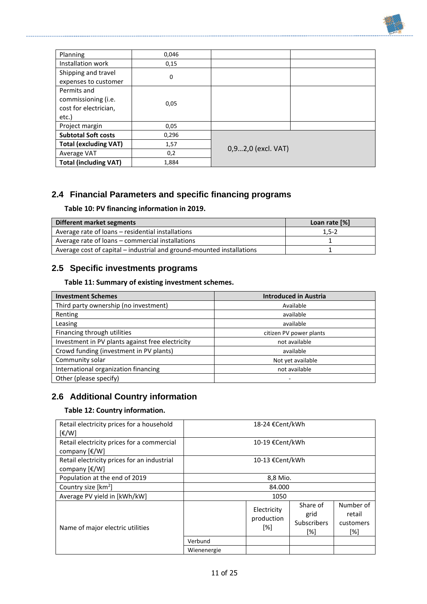| Planning                     | 0,046 |                    |  |
|------------------------------|-------|--------------------|--|
| Installation work            | 0,15  |                    |  |
| Shipping and travel          |       |                    |  |
| expenses to customer         | 0     |                    |  |
| Permits and                  |       |                    |  |
| commissioning (i.e.          | 0,05  |                    |  |
| cost for electrician,        |       |                    |  |
| etc.)                        |       |                    |  |
| Project margin               | 0,05  |                    |  |
| <b>Subtotal Soft costs</b>   | 0,296 |                    |  |
| <b>Total (excluding VAT)</b> | 1,57  |                    |  |
| Average VAT                  | 0,2   | 0,92,0 (excl. VAT) |  |
| <b>Total (including VAT)</b> | 1,884 |                    |  |

# <span id="page-11-0"></span>**2.4 Financial Parameters and specific financing programs**

### **Table 10: PV financing information in 2019.**

| Different market segments                                             | Loan rate [%] |
|-----------------------------------------------------------------------|---------------|
| Average rate of loans – residential installations                     | $1,5-2$       |
| Average rate of loans - commercial installations                      |               |
| Average cost of capital – industrial and ground-mounted installations |               |

# <span id="page-11-1"></span>**2.5 Specific investments programs**

#### **Table 11: Summary of existing investment schemes.**

| <b>Investment Schemes</b>                        | <b>Introduced in Austria</b> |
|--------------------------------------------------|------------------------------|
| Third party ownership (no investment)            | Available                    |
| Renting                                          | available                    |
| Leasing                                          | available                    |
| Financing through utilities                      | citizen PV power plants      |
| Investment in PV plants against free electricity | not available                |
| Crowd funding (investment in PV plants)          | available                    |
| Community solar                                  | Not yet available            |
| International organization financing             | not available                |
| Other (please specify)                           |                              |

# <span id="page-11-2"></span>**2.6 Additional Country information**

#### **Table 12: Country information.**

| Retail electricity prices for a household<br>$\lceil \frac{\varepsilon}{W} \rceil$           | 18-24 €Cent/kWh |                                  |                                        |                                         |
|----------------------------------------------------------------------------------------------|-----------------|----------------------------------|----------------------------------------|-----------------------------------------|
| Retail electricity prices for a commercial<br>company $[\text{\ensuremath{\mathsf{E}}}/W]$   | 10-19 €Cent/kWh |                                  |                                        |                                         |
| Retail electricity prices for an industrial<br>company $[\text{\ensuremath{\varepsilon}}/W]$ | 10-13 €Cent/kWh |                                  |                                        |                                         |
| Population at the end of 2019                                                                | 8,8 Mio.        |                                  |                                        |                                         |
| Country size [km <sup>2</sup> ]                                                              | 84.000          |                                  |                                        |                                         |
| Average PV yield in [kWh/kW]                                                                 | 1050            |                                  |                                        |                                         |
| Name of major electric utilities                                                             |                 | Electricity<br>production<br>[%] | Share of<br>grid<br>Subscribers<br>[%] | Number of<br>retail<br>customers<br>[%] |
|                                                                                              | Verbund         |                                  |                                        |                                         |
|                                                                                              | Wienenergie     |                                  |                                        |                                         |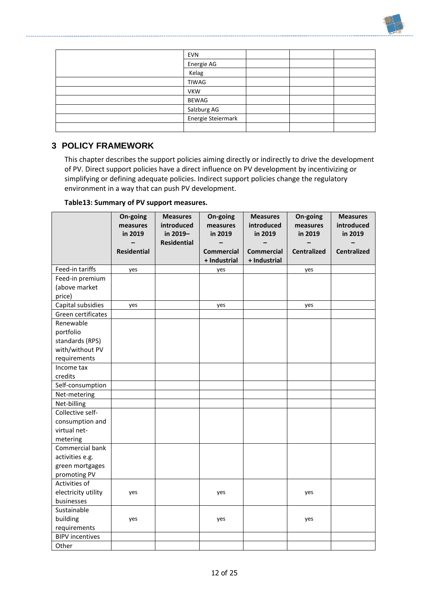| <b>EVN</b>         |  |  |
|--------------------|--|--|
| Energie AG         |  |  |
| Kelag              |  |  |
| TIWAG              |  |  |
| <b>VKW</b>         |  |  |
| <b>BEWAG</b>       |  |  |
| Salzburg AG        |  |  |
| Energie Steiermark |  |  |
|                    |  |  |

## <span id="page-12-0"></span>**3 POLICY FRAMEWORK**

This chapter describes the support policies aiming directly or indirectly to drive the development of PV. Direct support policies have a direct influence on PV development by incentivizing or simplifying or defining adequate policies. Indirect support policies change the regulatory environment in a way that can push PV development.

#### **Table13: Summary of PV support measures.**

|                        | On-going<br>measures<br>in 2019 | <b>Measures</b><br>introduced<br>in 2019-<br><b>Residential</b> | On-going<br>measures<br>in 2019 | <b>Measures</b><br>introduced<br>in 2019 | On-going<br>measures<br>in 2019 | <b>Measures</b><br>introduced<br>in 2019 |
|------------------------|---------------------------------|-----------------------------------------------------------------|---------------------------------|------------------------------------------|---------------------------------|------------------------------------------|
|                        | <b>Residential</b>              |                                                                 | <b>Commercial</b>               | <b>Commercial</b>                        | <b>Centralized</b>              | <b>Centralized</b>                       |
|                        |                                 |                                                                 | + Industrial                    | + Industrial                             |                                 |                                          |
| Feed-in tariffs        | yes                             |                                                                 | yes                             |                                          | yes                             |                                          |
| Feed-in premium        |                                 |                                                                 |                                 |                                          |                                 |                                          |
| (above market          |                                 |                                                                 |                                 |                                          |                                 |                                          |
| price)                 |                                 |                                                                 |                                 |                                          |                                 |                                          |
| Capital subsidies      | yes                             |                                                                 | yes                             |                                          | yes                             |                                          |
| Green certificates     |                                 |                                                                 |                                 |                                          |                                 |                                          |
| Renewable              |                                 |                                                                 |                                 |                                          |                                 |                                          |
| portfolio              |                                 |                                                                 |                                 |                                          |                                 |                                          |
| standards (RPS)        |                                 |                                                                 |                                 |                                          |                                 |                                          |
| with/without PV        |                                 |                                                                 |                                 |                                          |                                 |                                          |
| requirements           |                                 |                                                                 |                                 |                                          |                                 |                                          |
| Income tax             |                                 |                                                                 |                                 |                                          |                                 |                                          |
| credits                |                                 |                                                                 |                                 |                                          |                                 |                                          |
| Self-consumption       |                                 |                                                                 |                                 |                                          |                                 |                                          |
| Net-metering           |                                 |                                                                 |                                 |                                          |                                 |                                          |
| Net-billing            |                                 |                                                                 |                                 |                                          |                                 |                                          |
| Collective self-       |                                 |                                                                 |                                 |                                          |                                 |                                          |
| consumption and        |                                 |                                                                 |                                 |                                          |                                 |                                          |
| virtual net-           |                                 |                                                                 |                                 |                                          |                                 |                                          |
| metering               |                                 |                                                                 |                                 |                                          |                                 |                                          |
| Commercial bank        |                                 |                                                                 |                                 |                                          |                                 |                                          |
| activities e.g.        |                                 |                                                                 |                                 |                                          |                                 |                                          |
| green mortgages        |                                 |                                                                 |                                 |                                          |                                 |                                          |
| promoting PV           |                                 |                                                                 |                                 |                                          |                                 |                                          |
| Activities of          |                                 |                                                                 |                                 |                                          |                                 |                                          |
| electricity utility    | yes                             |                                                                 | yes                             |                                          | yes                             |                                          |
| businesses             |                                 |                                                                 |                                 |                                          |                                 |                                          |
| Sustainable            |                                 |                                                                 |                                 |                                          |                                 |                                          |
| building               | yes                             |                                                                 | yes                             |                                          | yes                             |                                          |
| requirements           |                                 |                                                                 |                                 |                                          |                                 |                                          |
| <b>BIPV incentives</b> |                                 |                                                                 |                                 |                                          |                                 |                                          |
| Other                  |                                 |                                                                 |                                 |                                          |                                 |                                          |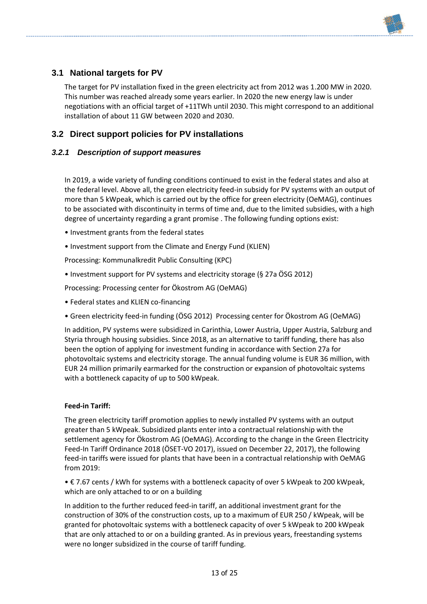<span id="page-13-0"></span>

The target for PV installation fixed in the green electricity act from 2012 was 1.200 MW in 2020. This number was reached already some years earlier. In 2020 the new energy law is under negotiations with an official target of +11TWh until 2030. This might correspond to an additional installation of about 11 GW between 2020 and 2030.

# <span id="page-13-1"></span>**3.2 Direct support policies for PV installations**

### <span id="page-13-2"></span>*3.2.1 Description of support measures*

In 2019, a wide variety of funding conditions continued to exist in the federal states and also at the federal level. Above all, the green electricity feed-in subsidy for PV systems with an output of more than 5 kWpeak, which is carried out by the office for green electricity (OeMAG), continues to be associated with discontinuity in terms of time and, due to the limited subsidies, with a high degree of uncertainty regarding a grant promise . The following funding options exist:

- Investment grants from the federal states
- Investment support from the Climate and Energy Fund (KLIEN)

Processing: Kommunalkredit Public Consulting (KPC)

• Investment support for PV systems and electricity storage (§ 27a ÖSG 2012)

Processing: Processing center for Ökostrom AG (OeMAG)

- Federal states and KLIEN co-financing
- Green electricity feed-in funding (ÖSG 2012) Processing center for Ökostrom AG (OeMAG)

In addition, PV systems were subsidized in Carinthia, Lower Austria, Upper Austria, Salzburg and Styria through housing subsidies. Since 2018, as an alternative to tariff funding, there has also been the option of applying for investment funding in accordance with Section 27a for photovoltaic systems and electricity storage. The annual funding volume is EUR 36 million, with EUR 24 million primarily earmarked for the construction or expansion of photovoltaic systems with a bottleneck capacity of up to 500 kWpeak.

#### **Feed-in Tariff:**

The green electricity tariff promotion applies to newly installed PV systems with an output greater than 5 kWpeak. Subsidized plants enter into a contractual relationship with the settlement agency for Ökostrom AG (OeMAG). According to the change in the Green Electricity Feed-In Tariff Ordinance 2018 (ÖSET-VO 2017), issued on December 22, 2017), the following feed-in tariffs were issued for plants that have been in a contractual relationship with OeMAG from 2019:

• € 7.67 cents / kWh for systems with a bottleneck capacity of over 5 kWpeak to 200 kWpeak, which are only attached to or on a building

In addition to the further reduced feed-in tariff, an additional investment grant for the construction of 30% of the construction costs, up to a maximum of EUR 250 / kWpeak, will be granted for photovoltaic systems with a bottleneck capacity of over 5 kWpeak to 200 kWpeak that are only attached to or on a building granted. As in previous years, freestanding systems were no longer subsidized in the course of tariff funding.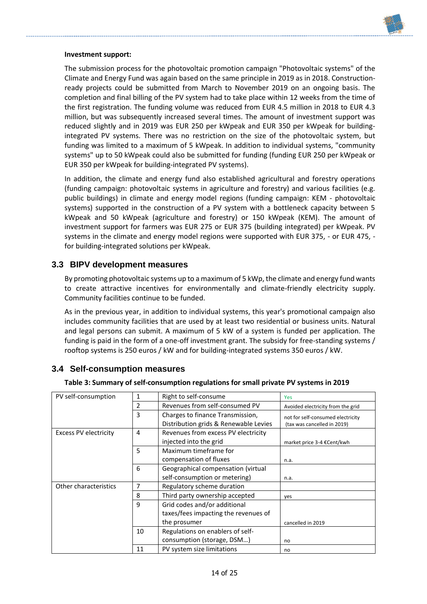

#### **Investment support:**

The submission process for the photovoltaic promotion campaign "Photovoltaic systems" of the Climate and Energy Fund was again based on the same principle in 2019 as in 2018. Constructionready projects could be submitted from March to November 2019 on an ongoing basis. The completion and final billing of the PV system had to take place within 12 weeks from the time of the first registration. The funding volume was reduced from EUR 4.5 million in 2018 to EUR 4.3 million, but was subsequently increased several times. The amount of investment support was reduced slightly and in 2019 was EUR 250 per kWpeak and EUR 350 per kWpeak for buildingintegrated PV systems. There was no restriction on the size of the photovoltaic system, but funding was limited to a maximum of 5 kWpeak. In addition to individual systems, "community systems" up to 50 kWpeak could also be submitted for funding (funding EUR 250 per kWpeak or EUR 350 per kWpeak for building-integrated PV systems).

In addition, the climate and energy fund also established agricultural and forestry operations (funding campaign: photovoltaic systems in agriculture and forestry) and various facilities (e.g. public buildings) in climate and energy model regions (funding campaign: KEM - photovoltaic systems) supported in the construction of a PV system with a bottleneck capacity between 5 kWpeak and 50 kWpeak (agriculture and forestry) or 150 kWpeak (KEM). The amount of investment support for farmers was EUR 275 or EUR 375 (building integrated) per kWpeak. PV systems in the climate and energy model regions were supported with EUR 375, - or EUR 475, for building-integrated solutions per kWpeak.

#### <span id="page-14-0"></span>**3.3 BIPV development measures**

By promoting photovoltaic systems up to a maximum of 5 kWp, the climate and energy fund wants to create attractive incentives for environmentally and climate-friendly electricity supply. Community facilities continue to be funded.

As in the previous year, in addition to individual systems, this year's promotional campaign also includes community facilities that are used by at least two residential or business units. Natural and legal persons can submit. A maximum of 5 kW of a system is funded per application. The funding is paid in the form of a one-off investment grant. The subsidy for free-standing systems / rooftop systems is 250 euros / kW and for building-integrated systems 350 euros / kW.

#### <span id="page-14-1"></span>**3.4 Self-consumption measures**

|  | Table 3: Summary of self-consumption regulations for small private PV systems in 2019 |  |  |  |
|--|---------------------------------------------------------------------------------------|--|--|--|
|--|---------------------------------------------------------------------------------------|--|--|--|

| PV self-consumption          | 1              | Right to self-consume                                                     | Yes                                                              |
|------------------------------|----------------|---------------------------------------------------------------------------|------------------------------------------------------------------|
|                              | $\overline{2}$ | Revenues from self-consumed PV                                            | Avoided electricity from the grid                                |
|                              | 3              | Charges to finance Transmission,<br>Distribution grids & Renewable Levies | not for self-consumed electricity<br>(tax was cancelled in 2019) |
| <b>Excess PV electricity</b> | 4              | Revenues from excess PV electricity<br>injected into the grid             | market price 3-4 €Cent/kwh                                       |
|                              | 5              | Maximum timeframe for<br>compensation of fluxes                           | n.a.                                                             |
|                              | 6              | Geographical compensation (virtual<br>self-consumption or metering)       | n.a.                                                             |
| Other characteristics        | 7              | Regulatory scheme duration                                                |                                                                  |
|                              | 8              | Third party ownership accepted                                            | yes                                                              |
|                              | $\mathbf{q}$   | Grid codes and/or additional<br>taxes/fees impacting the revenues of      |                                                                  |
|                              | the prosumer   |                                                                           | cancelled in 2019                                                |
|                              | 10             | Regulations on enablers of self-<br>consumption (storage, DSM)            | no                                                               |
|                              | 11             | PV system size limitations                                                | no                                                               |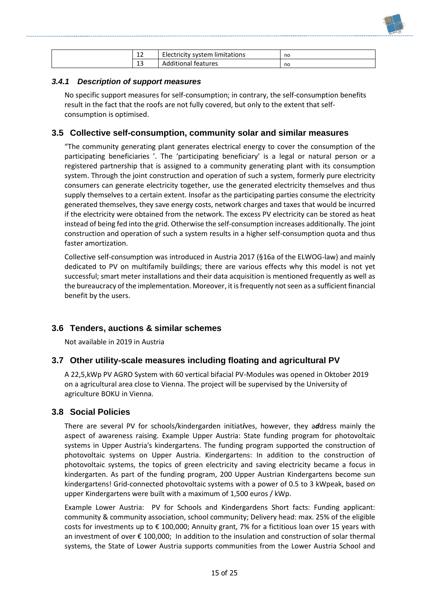| $\sim$<br>ᅭ  | Electricity system limitations | no |
|--------------|--------------------------------|----|
| $\sim$<br>13 | <b>Additional features</b>     | no |

#### <span id="page-15-0"></span>*3.4.1 Description of support measures*

No specific support measures for self-consumption; in contrary, the self-consumption benefits result in the fact that the roofs are not fully covered, but only to the extent that selfconsumption is optimised.

### <span id="page-15-1"></span>**3.5 Collective self-consumption, community solar and similar measures**

"The community generating plant generates electrical energy to cover the consumption of the participating beneficiaries '. The 'participating beneficiary' is a legal or natural person or a registered partnership that is assigned to a community generating plant with its consumption system. Through the joint construction and operation of such a system, formerly pure electricity consumers can generate electricity together, use the generated electricity themselves and thus supply themselves to a certain extent. Insofar as the participating parties consume the electricity generated themselves, they save energy costs, network charges and taxes that would be incurred if the electricity were obtained from the network. The excess PV electricity can be stored as heat instead of being fed into the grid. Otherwise the self-consumption increases additionally. The joint construction and operation of such a system results in a higher self-consumption quota and thus faster amortization.

Collective self-consumption was introduced in Austria 2017 (§16a of the ELWOG-law) and mainly dedicated to PV on multifamily buildings; there are various effects why this model is not yet successful; smart meter installations and their data acquisition is mentioned frequently as well as the bureaucracy of the implementation. Moreover, it is frequently not seen as a sufficient financial benefit by the users.

#### <span id="page-15-2"></span>**3.6 Tenders, auctions & similar schemes**

Not available in 2019 in Austria

#### <span id="page-15-3"></span>**3.7 Other utility-scale measures including floating and agricultural PV**

A 22,5,kWp PV AGRO System with 60 vertical bifacial PV-Modules was opened in Oktober 2019 on a agricultural area close to Vienna. The project will be supervised by the University of agriculture BOKU in Vienna.

#### <span id="page-15-4"></span>**3.8 Social Policies**

There are several PV for schools/kindergarden initiat*i*ves, however, they a*d*dress mainly the aspect of awareness raising. Example Upper Austria: State funding program for photovoltaic systems in Upper Austria's kindergartens. The funding program supported the construction of photovoltaic systems on Upper Austria. Kindergartens: In addition to the construction of photovoltaic systems, the topics of green electricity and saving electricity became a focus in kindergarten. As part of the funding program, 200 Upper Austrian Kindergartens become sun kindergartens! Grid-connected photovoltaic systems with a power of 0.5 to 3 kWpeak, based on upper Kindergartens were built with a maximum of 1,500 euros / kWp.

Example Lower Austria: PV for Schools and Kindergardens Short facts: Funding applicant: community & community association, school community; Delivery head: max. 25% of the eligible costs for investments up to € 100,000; Annuity grant, 7% for a fictitious loan over 15 years with an investment of over € 100,000; In addition to the insulation and construction of solar thermal systems, the State of Lower Austria supports communities from the Lower Austria School and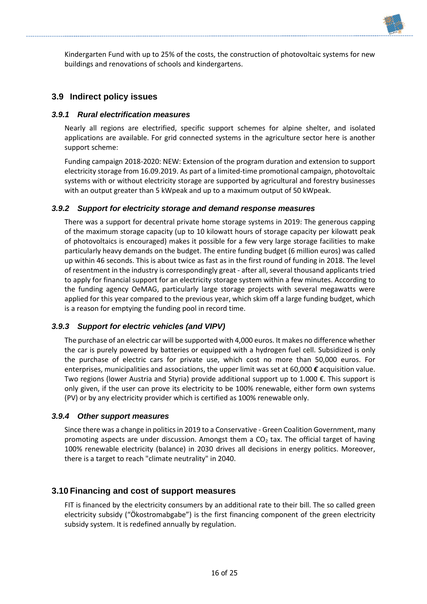Kindergarten Fund with up to 25% of the costs, the construction of photovoltaic systems for new buildings and renovations of schools and kindergartens.

### <span id="page-16-0"></span>**3.9 Indirect policy issues**

#### <span id="page-16-1"></span>*3.9.1 Rural electrification measures*

Nearly all regions are electrified, specific support schemes for alpine shelter, and isolated applications are available. For grid connected systems in the agriculture sector here is another support scheme:

Funding campaign 2018-2020: NEW: Extension of the program duration and extension to support electricity storage from 16.09.2019. As part of a limited-time promotional campaign, photovoltaic systems with or without electricity storage are supported by agricultural and forestry businesses with an output greater than 5 kWpeak and up to a maximum output of 50 kWpeak.

#### <span id="page-16-2"></span>*3.9.2 Support for electricity storage and demand response measures*

There was a support for decentral private home storage systems in 2019: The generous capping of the maximum storage capacity (up to 10 kilowatt hours of storage capacity per kilowatt peak of photovoltaics is encouraged) makes it possible for a few very large storage facilities to make particularly heavy demands on the budget. The entire funding budget (6 million euros) was called up within 46 seconds. This is about twice as fast as in the first round of funding in 2018. The level of resentment in the industry is correspondingly great - after all, several thousand applicants tried to apply for financial support for an electricity storage system within a few minutes. According to the funding agency OeMAG, particularly large storage projects with several megawatts were applied for this year compared to the previous year, which skim off a large funding budget, which is a reason for emptying the funding pool in record time.

#### <span id="page-16-3"></span>*3.9.3 Support for electric vehicles (and VIPV)*

The purchase of an electric car will be supported with 4,000 euros. It makes no difference whether the car is purely powered by batteries or equipped with a hydrogen fuel cell. Subsidized is only the purchase of electric cars for private use, which cost no more than 50,000 euros. For enterprises, municipalities and associations, the upper limit was set at 60,000 *€* acquisition value. Two regions (lower Austria and Styria) provide additional support up to 1.000 €. This support is only given, if the user can prove its electricity to be 100% renewable, either form own systems (PV) or by any electricity provider which is certified as 100% renewable only.

#### <span id="page-16-4"></span>*3.9.4 Other support measures*

Since there was a change in politics in 2019 to a Conservative - Green Coalition Government, many promoting aspects are under discussion. Amongst them a  $CO<sub>2</sub>$  tax. The official target of having 100% renewable electricity (balance) in 2030 drives all decisions in energy politics. Moreover, there is a target to reach "climate neutrality" in 2040.

#### <span id="page-16-5"></span>**3.10 Financing and cost of support measures**

FIT is financed by the electricity consumers by an additional rate to their bill. The so called green electricity subsidy ("Ökostromabgabe") is the first financing component of the green electricity subsidy system. It is redefined annually by regulation.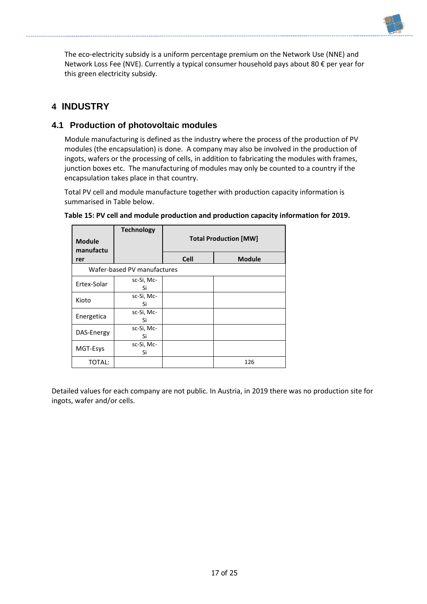The eco-electricity subsidy is a uniform percentage premium on the Network Use (NNE) and Network Loss Fee (NVE). Currently a typical consumer household pays about 80 € per year for this green electricity subsidy.

# <span id="page-17-0"></span>**4 INDUSTRY**

## <span id="page-17-1"></span>**4.1 Production of photovoltaic modules**

Module manufacturing is defined as the industry where the process of the production of PV modules (the encapsulation) is done. A company may also be involved in the production of ingots, wafers or the processing of cells, in addition to fabricating the modules with frames, junction boxes etc. The manufacturing of modules may only be counted to a country if the encapsulation takes place in that country.

Total PV cell and module manufacture together with production capacity information is summarised in Table below.

| <b>Module</b><br>manufactu | <b>Technology</b>           | <b>Total Production [MW]</b> |               |
|----------------------------|-----------------------------|------------------------------|---------------|
| rer                        |                             | <b>Cell</b>                  | <b>Module</b> |
|                            | Wafer-based PV manufactures |                              |               |
| Ertex-Solar                | sc-Si, Mc-<br>Si            |                              |               |
| Kioto                      | sc-Si, Mc-<br>Si            |                              |               |
| Energetica                 | sc-Si, Mc-<br>Si            |                              |               |
| DAS-Energy                 | sc-Si, Mc-<br>Si            |                              |               |
| MGT-Esys                   | sc-Si, Mc-<br>Si            |                              |               |
| TOTAL:                     |                             |                              | 126           |

#### **Table 15: PV cell and module production and production capacity information for 2019.**

Detailed values for each company are not public. In Austria, in 2019 there was no production site for ingots, wafer and/or cells.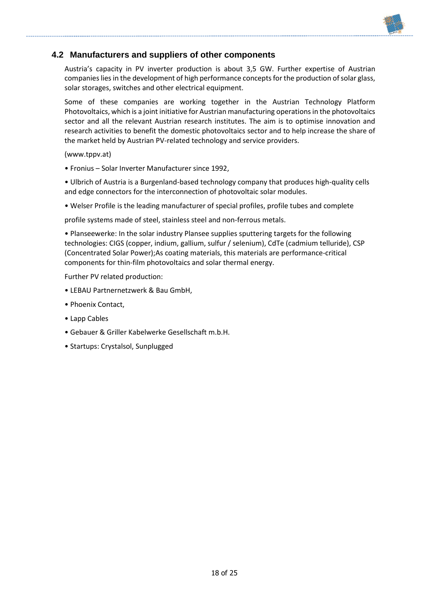### <span id="page-18-0"></span>**4.2 Manufacturers and suppliers of other components**

Austria's capacity in PV inverter production is about 3,5 GW. Further expertise of Austrian companies lies in the development of high performance concepts for the production of solar glass, solar storages, switches and other electrical equipment.

Some of these companies are working together in the Austrian Technology Platform Photovoltaics, which is a joint initiative for Austrian manufacturing operations in the photovoltaics sector and all the relevant Austrian research institutes. The aim is to optimise innovation and research activities to benefit the domestic photovoltaics sector and to help increase the share of the market held by Austrian PV-related technology and service providers.

(www.tppv.at)

• Fronius – Solar Inverter Manufacturer since 1992,

• Ulbrich of Austria is a Burgenland-based technology company that produces high-quality cells and edge connectors for the interconnection of photovoltaic solar modules.

• Welser Profile is the leading manufacturer of special profiles, profile tubes and complete

profile systems made of steel, stainless steel and non-ferrous metals.

• Planseewerke: In the solar industry Plansee supplies sputtering targets for the following technologies: CIGS (copper, indium, gallium, sulfur / selenium), CdTe (cadmium telluride), CSP (Concentrated Solar Power);As coating materials, this materials are performance-critical components for thin-film photovoltaics and solar thermal energy.

Further PV related production:

- LEBAU Partnernetzwerk & Bau GmbH,
- Phoenix Contact,
- Lapp Cables
- Gebauer & Griller Kabelwerke Gesellschaft m.b.H.
- Startups: Crystalsol, Sunplugged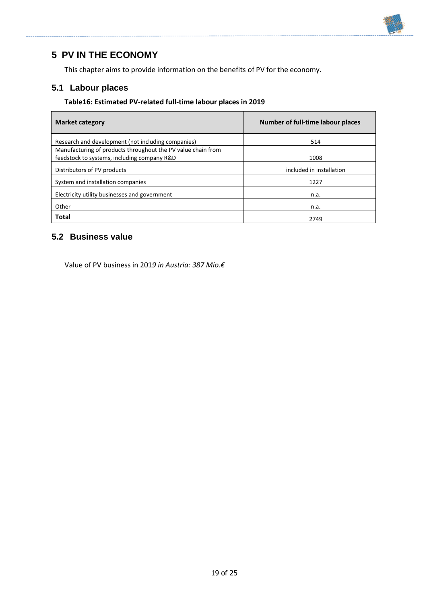

# <span id="page-19-0"></span>**5 PV IN THE ECONOMY**

This chapter aims to provide information on the benefits of PV for the economy.

# <span id="page-19-1"></span>**5.1 Labour places**

#### **Table16: Estimated PV-related full-time labour places in 2019**

| <b>Market category</b>                                       | Number of full-time labour places |
|--------------------------------------------------------------|-----------------------------------|
| Research and development (not including companies)           | 514                               |
| Manufacturing of products throughout the PV value chain from |                                   |
| feedstock to systems, including company R&D                  | 1008                              |
| Distributors of PV products                                  | included in installation          |
| System and installation companies                            | 1227                              |
| Electricity utility businesses and government                | n.a.                              |
| Other                                                        | n.a.                              |
| <b>Total</b>                                                 | 2749                              |

### <span id="page-19-2"></span>**5.2 Business value**

Value of PV business in 201*9 in Austria: 387 Mio.€*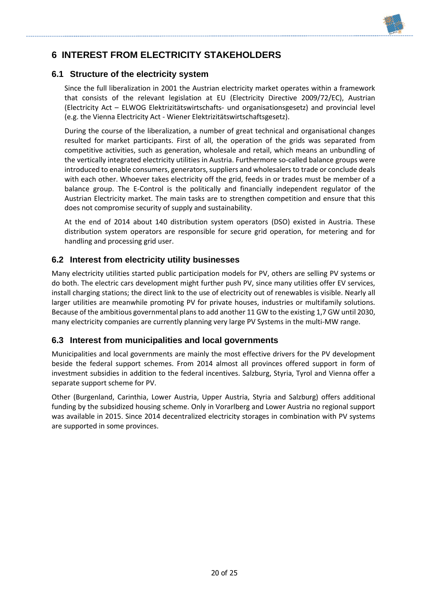# <span id="page-20-0"></span>**6 INTEREST FROM ELECTRICITY STAKEHOLDERS**

### <span id="page-20-1"></span>**6.1 Structure of the electricity system**

Since the full liberalization in 2001 the Austrian electricity market operates within a framework that consists of the relevant legislation at EU (Electricity Directive 2009/72/EC), Austrian (Electricity Act – ELWOG Elektrizitätswirtschafts- und organisationsgesetz) and provincial level (e.g. the Vienna Electricity Act - Wiener Elektrizitätswirtschaftsgesetz).

During the course of the liberalization, a number of great technical and organisational changes resulted for market participants. First of all, the operation of the grids was separated from competitive activities, such as generation, wholesale and retail, which means an unbundling of the vertically integrated electricity utilities in Austria. Furthermore so-called balance groups were introduced to enable consumers, generators, suppliers and wholesalers to trade or conclude deals with each other. Whoever takes electricity off the grid, feeds in or trades must be member of a balance group. The E-Control is the politically and financially independent regulator of the Austrian Electricity market. The main tasks are to strengthen competition and ensure that this does not compromise security of supply and sustainability.

At the end of 2014 about 140 distribution system operators (DSO) existed in Austria. These distribution system operators are responsible for secure grid operation, for metering and for handling and processing grid user.

## <span id="page-20-2"></span>**6.2 Interest from electricity utility businesses**

Many electricity utilities started public participation models for PV, others are selling PV systems or do both. The electric cars development might further push PV, since many utilities offer EV services, install charging stations; the direct link to the use of electricity out of renewables is visible. Nearly all larger utilities are meanwhile promoting PV for private houses, industries or multifamily solutions. Because of the ambitious governmental plans to add another 11 GW to the existing 1,7 GW until 2030, many electricity companies are currently planning very large PV Systems in the multi-MW range.

### <span id="page-20-3"></span>**6.3 Interest from municipalities and local governments**

Municipalities and local governments are mainly the most effective drivers for the PV development beside the federal support schemes. From 2014 almost all provinces offered support in form of investment subsidies in addition to the federal incentives. Salzburg, Styria, Tyrol and Vienna offer a separate support scheme for PV.

Other (Burgenland, Carinthia, Lower Austria, Upper Austria, Styria and Salzburg) offers additional funding by the subsidized housing scheme. Only in Vorarlberg and Lower Austria no regional support was available in 2015. Since 2014 decentralized electricity storages in combination with PV systems are supported in some provinces.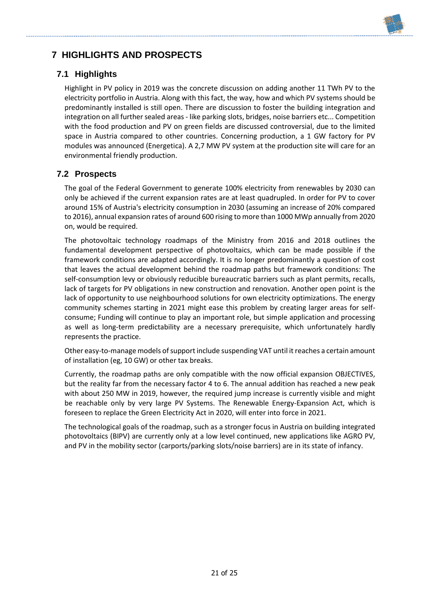

# <span id="page-21-0"></span>**7 HIGHLIGHTS AND PROSPECTS**

# <span id="page-21-1"></span>**7.1 Highlights**

Highlight in PV policy in 2019 was the concrete discussion on adding another 11 TWh PV to the electricity portfolio in Austria. Along with this fact, the way, how and which PV systems should be predominantly installed is still open. There are discussion to foster the building integration and integration on all further sealed areas - like parking slots, bridges, noise barriers etc... Competition with the food production and PV on green fields are discussed controversial, due to the limited space in Austria compared to other countries. Concerning production, a 1 GW factory for PV modules was announced (Energetica). A 2,7 MW PV system at the production site will care for an environmental friendly production.

## <span id="page-21-2"></span>**7.2 Prospects**

The goal of the Federal Government to generate 100% electricity from renewables by 2030 can only be achieved if the current expansion rates are at least quadrupled. In order for PV to cover around 15% of Austria's electricity consumption in 2030 (assuming an increase of 20% compared to 2016), annual expansion rates of around 600 rising to more than 1000 MWp annually from 2020 on, would be required.

The photovoltaic technology roadmaps of the Ministry from 2016 and 2018 outlines the fundamental development perspective of photovoltaics, which can be made possible if the framework conditions are adapted accordingly. It is no longer predominantly a question of cost that leaves the actual development behind the roadmap paths but framework conditions: The self-consumption levy or obviously reducible bureaucratic barriers such as plant permits, recalls, lack of targets for PV obligations in new construction and renovation. Another open point is the lack of opportunity to use neighbourhood solutions for own electricity optimizations. The energy community schemes starting in 2021 might ease this problem by creating larger areas for selfconsume; Funding will continue to play an important role, but simple application and processing as well as long-term predictability are a necessary prerequisite, which unfortunately hardly represents the practice.

Other easy-to-manage models of support include suspending VAT until it reaches a certain amount of installation (eg, 10 GW) or other tax breaks.

Currently, the roadmap paths are only compatible with the now official expansion OBJECTIVES, but the reality far from the necessary factor 4 to 6. The annual addition has reached a new peak with about 250 MW in 2019, however, the required jump increase is currently visible and might be reachable only by very large PV Systems. The Renewable Energy-Expansion Act, which is foreseen to replace the Green Electricity Act in 2020, will enter into force in 2021.

The technological goals of the roadmap, such as a stronger focus in Austria on building integrated photovoltaics (BIPV) are currently only at a low level continued, new applications like AGRO PV, and PV in the mobility sector (carports/parking slots/noise barriers) are in its state of infancy.